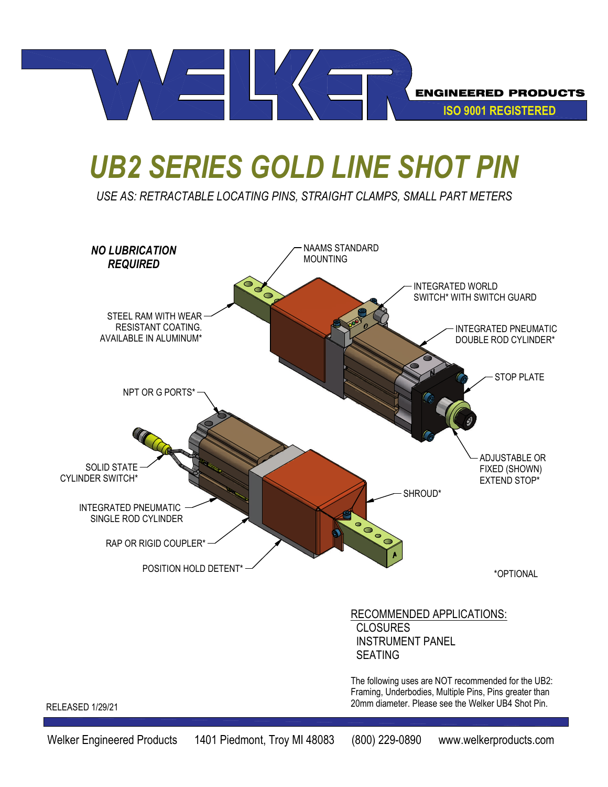

## *UB2 SERIES GOLD LINE SHOT PIN*

*USE AS: RETRACTABLE LOCATING PINS, STRAIGHT CLAMPS, SMALL PART METERS*

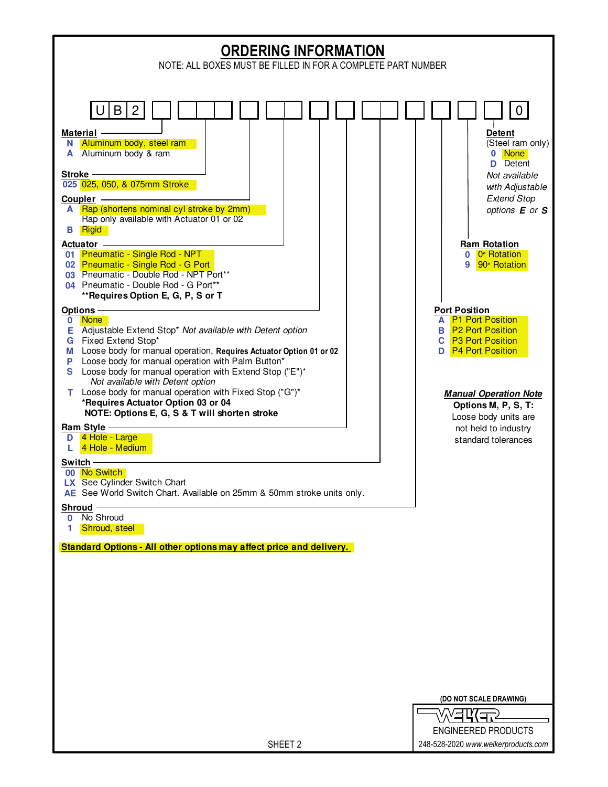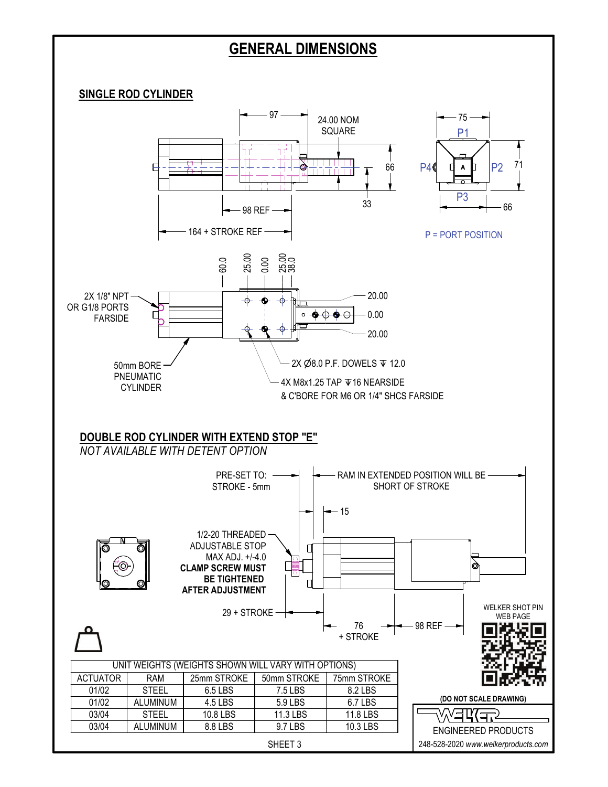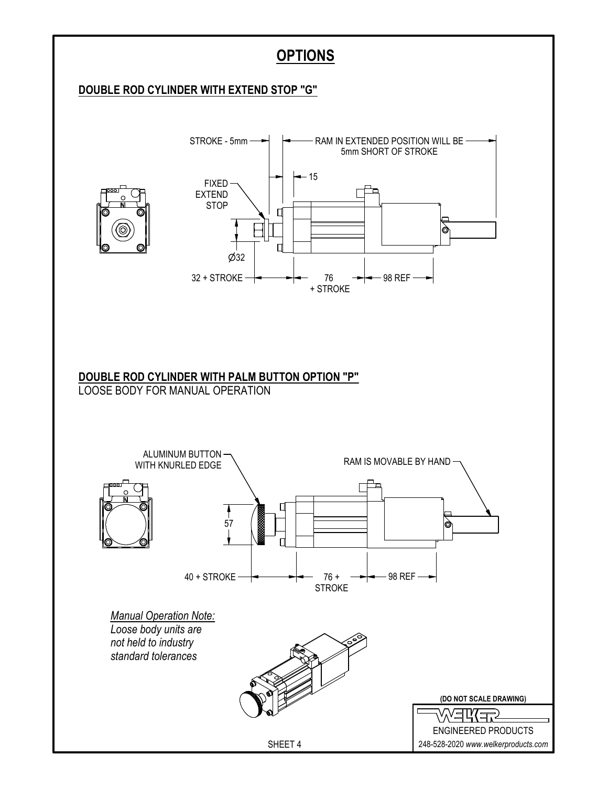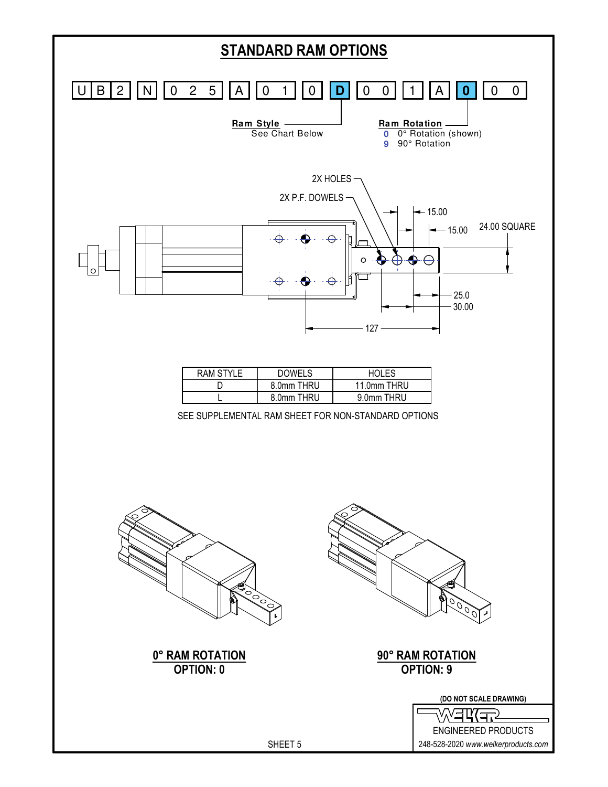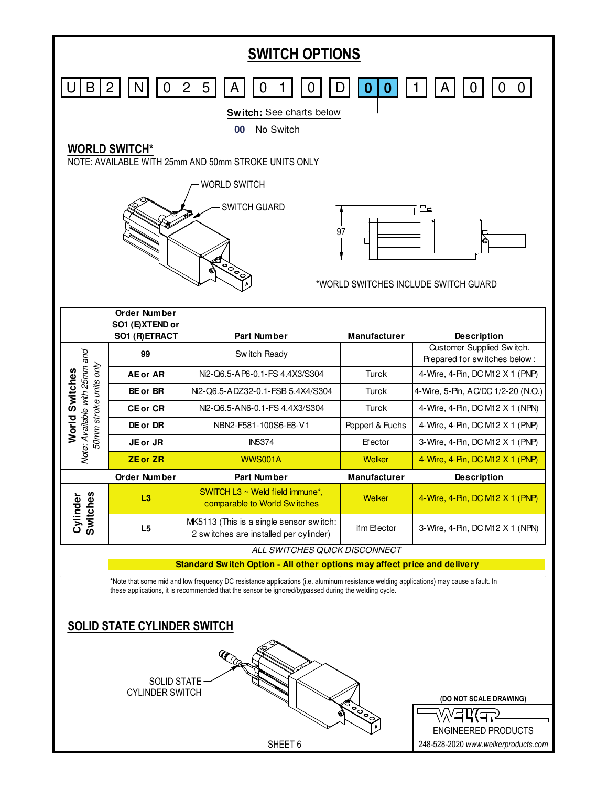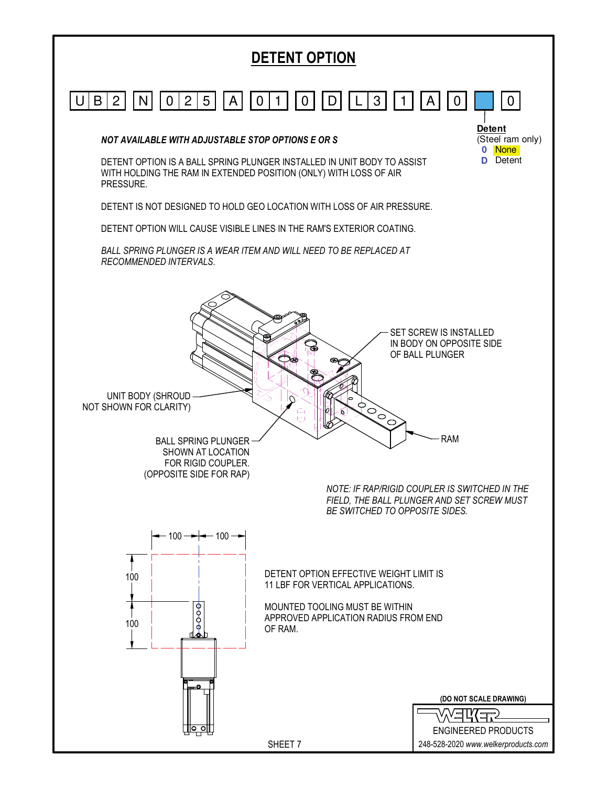